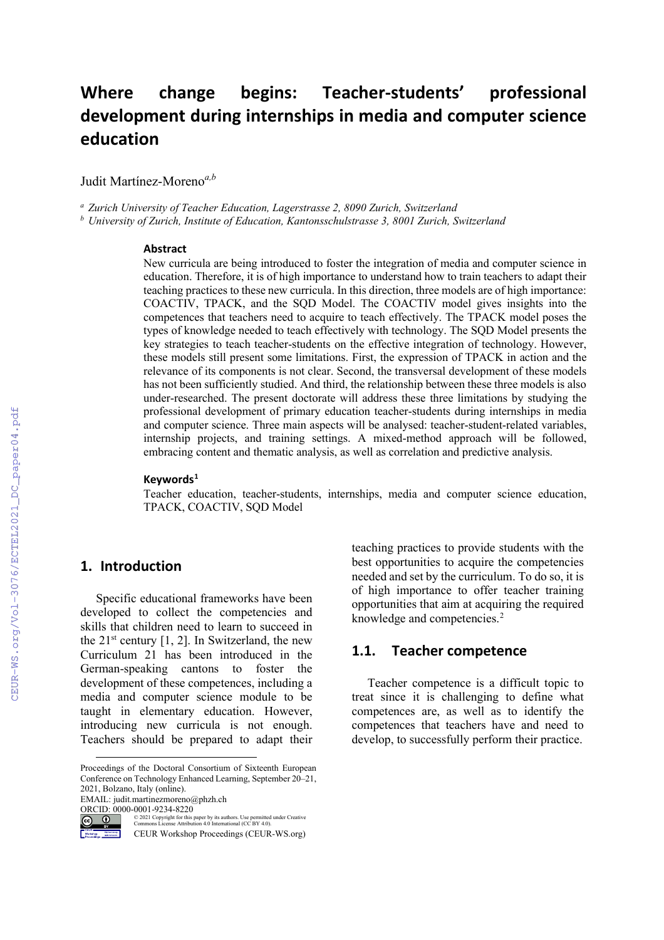# **Where change begins: Teacher-students' professional development during internships in media and computer science education**

Judit Martínez-Moreno*a,b*

*<sup>a</sup> Zurich University of Teacher Education, Lagerstrasse 2, 8090 Zurich, Switzerland*

*<sup>b</sup> University of Zurich, Institute of Education, Kantonsschulstrasse 3, 8001 Zurich, Switzerland*

#### **Abstract**

New curricula are being introduced to foster the integration of media and computer science in education. Therefore, it is of high importance to understand how to train teachers to adapt their teaching practices to these new curricula. In this direction, three models are of high importance: COACTIV, TPACK, and the SQD Model. The COACTIV model gives insights into the competences that teachers need to acquire to teach effectively. The TPACK model poses the types of knowledge needed to teach effectively with technology. The SQD Model presents the key strategies to teach teacher-students on the effective integration of technology. However, these models still present some limitations. First, the expression of TPACK in action and the relevance of its components is not clear. Second, the transversal development of these models has not been sufficiently studied. And third, the relationship between these three models is also under-researched. The present doctorate will address these three limitations by studying the professional development of primary education teacher-students during internships in media and computer science. Three main aspects will be analysed: teacher-student-related variables, internship projects, and training settings. A mixed-method approach will be followed, embracing content and thematic analysis, as well as correlation and predictive analysis.

#### **Keywords[1](#page-0-0)**

Teacher education, teacher-students, internships, media and computer science education, TPACK, COACTIV, SQD Model

#### **1. Introduction**

Specific educational frameworks have been developed to collect the competencies and skills that children need to learn to succeed in the  $21^{st}$  century [1, 2]. In Switzerland, the new Curriculum 21 has been introduced in the German-speaking cantons to foster the development of these competences, including a media and computer science module to be taught in elementary education. However, introducing new curricula is not enough. Teachers should be prepared to adapt their

<span id="page-0-0"></span>Proceedings of the Doctoral Consortium of Sixteenth European Conference on Technology Enhanced Learning, September 20–21, 2021, Bolzano, Italy (online).

EMAIL: judit.martinezmoreno@phzh.ch

teaching practices to provide students with the best opportunities to acquire the competencies needed and set by the curriculum. To do so, it is of high importance to offer teacher training opportunities that aim at acquiring the required knowledge and competencies. [2](#page-0-1)

#### **1.1. Teacher competence**

Teacher competence is a difficult topic to treat since it is challenging to define what competences are, as well as to identify the competences that teachers have and need to develop, to successfully perform their practice.

<span id="page-0-1"></span>ORCID:  $0000-0001-9234-8220$ © 2021 Copyright for this paper by its authors. Use permitted under Creative Commons License Attribution 4.0 International (CC BY 4.0). Machineson ()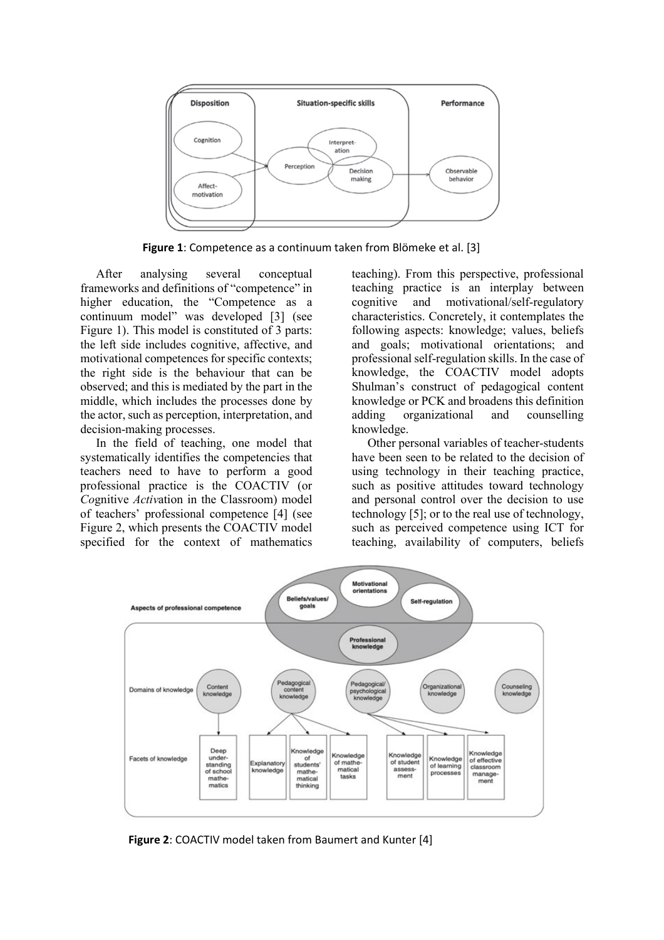

**Figure 1**: Competence as a continuum taken from Blömeke et al. [3]

After analysing several conceptual frameworks and definitions of "competence" in higher education, the "Competence as a continuum model" was developed [3] (see Figure 1). This model is constituted of 3 parts: the left side includes cognitive, affective, and motivational competences for specific contexts; the right side is the behaviour that can be observed; and this is mediated by the part in the middle, which includes the processes done by the actor, such as perception, interpretation, and decision-making processes.

In the field of teaching, one model that systematically identifies the competencies that teachers need to have to perform a good professional practice is the COACTIV (or *Co*gnitive *Activ*ation in the Classroom) model of teachers' professional competence [4] (see Figure 2, which presents the COACTIV model specified for the context of mathematics

teaching). From this perspective, professional teaching practice is an interplay between<br>cognitive and motivational/self-regulatory and motivational/self-regulatory characteristics. Concretely, it contemplates the following aspects: knowledge; values, beliefs and goals; motivational orientations; and professional self-regulation skills. In the case of knowledge, the COACTIV model adopts Shulman's construct of pedagogical content knowledge or PCK and broadens this definition adding organizational and counselling knowledge.

Other personal variables of teacher-students have been seen to be related to the decision of using technology in their teaching practice, such as positive attitudes toward technology and personal control over the decision to use technology [5]; or to the real use of technology, such as perceived competence using ICT for teaching, availability of computers, beliefs



**Figure 2**: COACTIV model taken from Baumert and Kunter [4]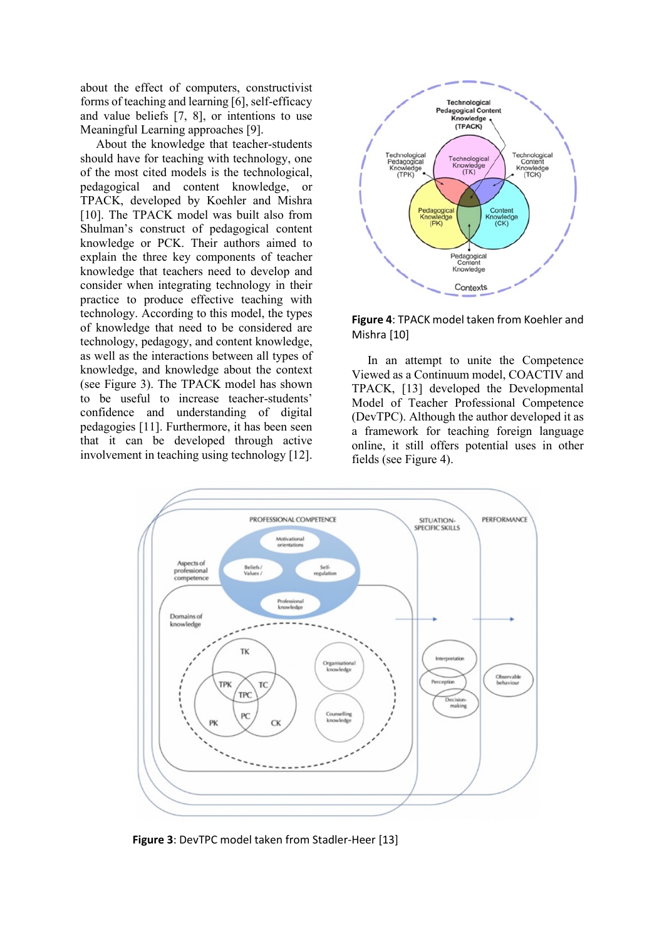about the effect of computers, constructivist forms of teaching and learning [6], self-efficacy and value beliefs [7, 8], or intentions to use Meaningful Learning approaches [9].

About the knowledge that teacher-students should have for teaching with technology, one of the most cited models is the technological, pedagogical and content knowledge, or TPACK, developed by Koehler and Mishra [10]. The TPACK model was built also from Shulman's construct of pedagogical content knowledge or PCK. Their authors aimed to explain the three key components of teacher knowledge that teachers need to develop and consider when integrating technology in their practice to produce effective teaching with technology. According to this model, the types of knowledge that need to be considered are technology, pedagogy, and content knowledge, as well as the interactions between all types of knowledge, and knowledge about the context (see Figure 3). The TPACK model has shown to be useful to increase teacher-students' confidence and understanding of digital pedagogies [11]. Furthermore, it has been seen that it can be developed through active involvement in teaching using technology [12].





In an attempt to unite the Competence Viewed as a Continuum model, COACTIV and TPACK, [13] developed the Developmental Model of Teacher Professional Competence (DevTPC). Although the author developed it as a framework for teaching foreign language online, it still offers potential uses in other fields (see Figure 4).



**Figure 3**: DevTPC model taken from Stadler-Heer [13]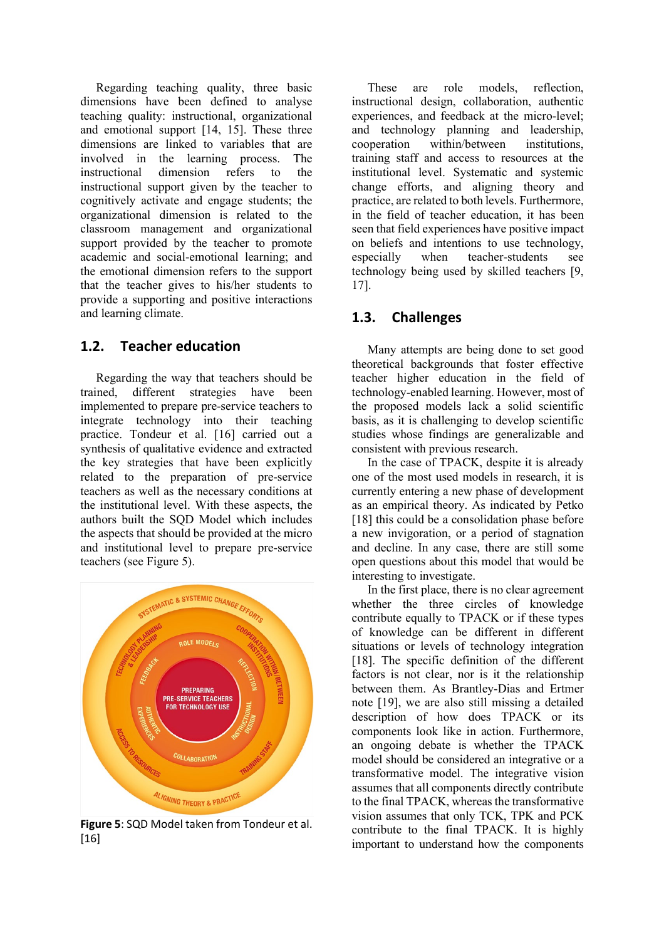Regarding teaching quality, three basic dimensions have been defined to analyse teaching quality: instructional, organizational and emotional support [14, 15]. These three dimensions are linked to variables that are involved in the learning process. The instructional dimension refers to the instructional support given by the teacher to cognitively activate and engage students; the organizational dimension is related to the classroom management and organizational support provided by the teacher to promote academic and social-emotional learning; and the emotional dimension refers to the support that the teacher gives to his/her students to provide a supporting and positive interactions and learning climate.

### **1.2. Teacher education**

Regarding the way that teachers should be trained, different strategies have been implemented to prepare pre-service teachers to integrate technology into their teaching practice. Tondeur et al. [16] carried out a synthesis of qualitative evidence and extracted the key strategies that have been explicitly related to the preparation of pre-service teachers as well as the necessary conditions at the institutional level. With these aspects, the authors built the SQD Model which includes the aspects that should be provided at the micro and institutional level to prepare pre-service teachers (see Figure 5).



**Figure 5**: SQD Model taken from Tondeur et al. [16]

These are role models, reflection, instructional design, collaboration, authentic experiences, and feedback at the micro-level; and technology planning and leadership, cooperation within/between institutions, training staff and access to resources at the institutional level. Systematic and systemic change efforts, and aligning theory and practice, are related to both levels. Furthermore, in the field of teacher education, it has been seen that field experiences have positive impact on beliefs and intentions to use technology, especially when teacher-students see technology being used by skilled teachers [9, 17].

### **1.3. Challenges**

Many attempts are being done to set good theoretical backgrounds that foster effective teacher higher education in the field of technology-enabled learning. However, most of the proposed models lack a solid scientific basis, as it is challenging to develop scientific studies whose findings are generalizable and consistent with previous research.

In the case of TPACK, despite it is already one of the most used models in research, it is currently entering a new phase of development as an empirical theory. As indicated by Petko [18] this could be a consolidation phase before a new invigoration, or a period of stagnation and decline. In any case, there are still some open questions about this model that would be interesting to investigate.

In the first place, there is no clear agreement whether the three circles of knowledge contribute equally to TPACK or if these types of knowledge can be different in different situations or levels of technology integration [18]. The specific definition of the different factors is not clear, nor is it the relationship between them. As Brantley-Dias and Ertmer note [19], we are also still missing a detailed description of how does TPACK or its components look like in action. Furthermore, an ongoing debate is whether the TPACK model should be considered an integrative or a transformative model. The integrative vision assumes that all components directly contribute to the final TPACK, whereas the transformative vision assumes that only TCK, TPK and PCK contribute to the final TPACK. It is highly important to understand how the components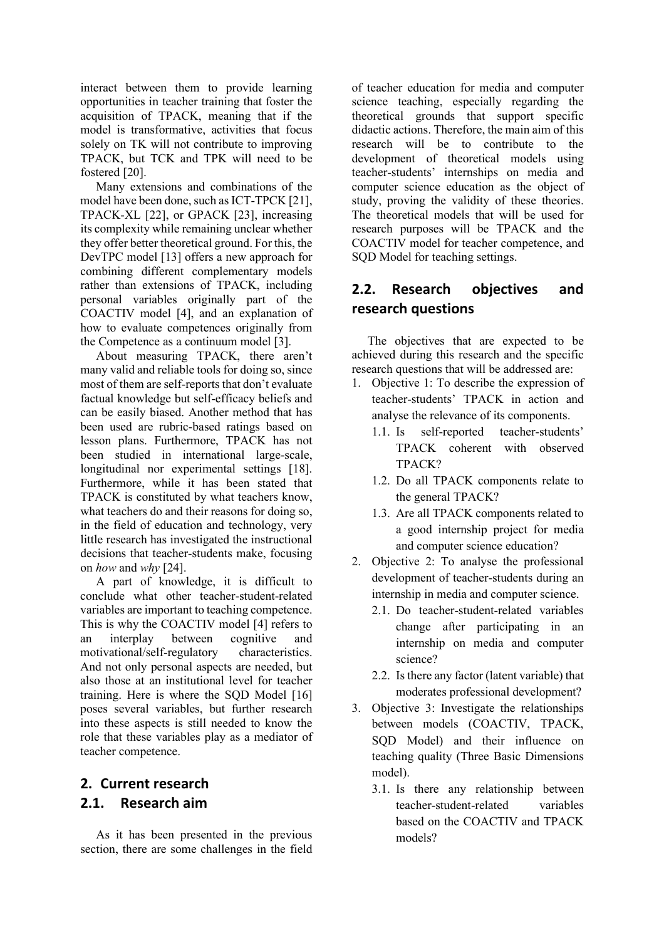interact between them to provide learning opportunities in teacher training that foster the acquisition of TPACK, meaning that if the model is transformative, activities that focus solely on TK will not contribute to improving TPACK, but TCK and TPK will need to be fostered [20].

Many extensions and combinations of the model have been done, such as ICT-TPCK [21], TPACK-XL [22], or GPACK [23], increasing its complexity while remaining unclear whether they offer better theoretical ground. For this, the DevTPC model [13] offers a new approach for combining different complementary models rather than extensions of TPACK, including personal variables originally part of the COACTIV model [4], and an explanation of how to evaluate competences originally from the Competence as a continuum model [3].

About measuring TPACK, there aren't many valid and reliable tools for doing so, since most of them are self-reports that don't evaluate factual knowledge but self-efficacy beliefs and can be easily biased. Another method that has been used are rubric-based ratings based on lesson plans. Furthermore, TPACK has not been studied in international large-scale, longitudinal nor experimental settings [18]. Furthermore, while it has been stated that TPACK is constituted by what teachers know, what teachers do and their reasons for doing so, in the field of education and technology, very little research has investigated the instructional decisions that teacher-students make, focusing on *how* and *why* [24].

A part of knowledge, it is difficult to conclude what other teacher-student-related variables are important to teaching competence. This is why the COACTIV model [4] refers to an interplay between cognitive and motivational/self-regulatory characteristics. And not only personal aspects are needed, but also those at an institutional level for teacher training. Here is where the SQD Model [16] poses several variables, but further research into these aspects is still needed to know the role that these variables play as a mediator of teacher competence.

### **2. Current research 2.1. Research aim**

As it has been presented in the previous section, there are some challenges in the field of teacher education for media and computer science teaching, especially regarding the theoretical grounds that support specific didactic actions. Therefore, the main aim of this research will be to contribute to the development of theoretical models using teacher-students' internships on media and computer science education as the object of study, proving the validity of these theories. The theoretical models that will be used for research purposes will be TPACK and the COACTIV model for teacher competence, and SQD Model for teaching settings.

### **2.2. Research objectives and research questions**

The objectives that are expected to be achieved during this research and the specific research questions that will be addressed are:

- 1. Objective 1: To describe the expression of teacher-students' TPACK in action and analyse the relevance of its components.
	- 1.1. Is self-reported teacher-students' TPACK coherent with observed TPACK?
	- 1.2. Do all TPACK components relate to the general TPACK?
	- 1.3. Are all TPACK components related to a good internship project for media and computer science education?
- 2. Objective 2: To analyse the professional development of teacher-students during an internship in media and computer science.
	- 2.1. Do teacher-student-related variables change after participating in an internship on media and computer science?
	- 2.2. Is there any factor (latent variable) that moderates professional development?
- 3. Objective 3: Investigate the relationships between models (COACTIV, TPACK, SQD Model) and their influence on teaching quality (Three Basic Dimensions model).
	- 3.1. Is there any relationship between teacher-student-related variables based on the COACTIV and TPACK models?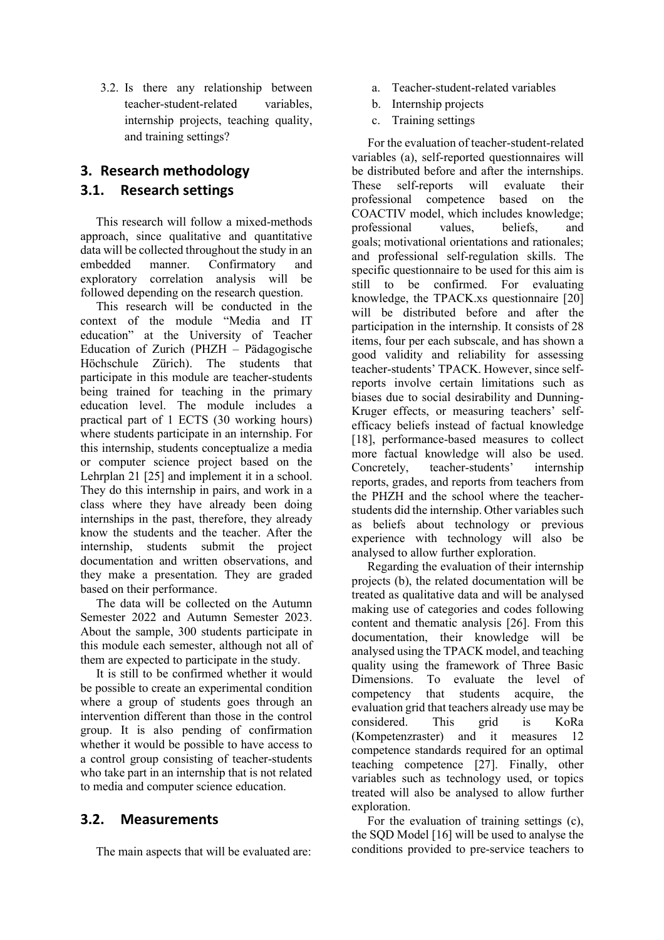3.2. Is there any relationship between teacher-student-related variables, internship projects, teaching quality, and training settings?

## **3. Research methodology 3.1. Research settings**

This research will follow a mixed-methods approach, since qualitative and quantitative data will be collected throughout the study in an<br>embedded manner. Confirmatory and Confirmatory and exploratory correlation analysis will be followed depending on the research question.

This research will be conducted in the context of the module "Media and IT education" at the University of Teacher Education of Zurich (PHZH – Pädagogische Höchschule Zürich). The students that participate in this module are teacher-students being trained for teaching in the primary education level. The module includes a practical part of 1 ECTS (30 working hours) where students participate in an internship. For this internship, students conceptualize a media or computer science project based on the Lehrplan 21 [25] and implement it in a school. They do this internship in pairs, and work in a class where they have already been doing internships in the past, therefore, they already know the students and the teacher. After the internship, students submit the project documentation and written observations, and they make a presentation. They are graded based on their performance.

The data will be collected on the Autumn Semester 2022 and Autumn Semester 2023. About the sample, 300 students participate in this module each semester, although not all of them are expected to participate in the study.

It is still to be confirmed whether it would be possible to create an experimental condition where a group of students goes through an intervention different than those in the control group. It is also pending of confirmation whether it would be possible to have access to a control group consisting of teacher-students who take part in an internship that is not related to media and computer science education.

### **3.2. Measurements**

The main aspects that will be evaluated are:

- a. Teacher-student-related variables
- b. Internship projects
- c. Training settings

For the evaluation of teacher-student-related variables (a), self-reported questionnaires will be distributed before and after the internships. These self-reports will evaluate their professional competence based on the COACTIV model, which includes knowledge; professional values, beliefs, and goals; motivational orientations and rationales; and professional self-regulation skills. The specific questionnaire to be used for this aim is still to be confirmed. For evaluating knowledge, the TPACK.xs questionnaire [20] will be distributed before and after the participation in the internship. It consists of 28 items, four per each subscale, and has shown a good validity and reliability for assessing teacher-students' TPACK. However, since selfreports involve certain limitations such as biases due to social desirability and Dunning-Kruger effects, or measuring teachers' selfefficacy beliefs instead of factual knowledge [18], performance-based measures to collect more factual knowledge will also be used. Concretely, teacher-students' internship reports, grades, and reports from teachers from the PHZH and the school where the teacherstudents did the internship. Other variables such as beliefs about technology or previous experience with technology will also be analysed to allow further exploration.

Regarding the evaluation of their internship projects (b), the related documentation will be treated as qualitative data and will be analysed making use of categories and codes following content and thematic analysis [26]. From this documentation, their knowledge will be analysed using the TPACK model, and teaching quality using the framework of Three Basic Dimensions. To evaluate the level of competency that students acquire, the evaluation grid that teachers already use may be considered. This grid is KoRa considered. This grid is KoRa (Kompetenzraster) and it measures 12 competence standards required for an optimal teaching competence [27]. Finally, other variables such as technology used, or topics treated will also be analysed to allow further exploration.

For the evaluation of training settings (c), the SQD Model [16] will be used to analyse the conditions provided to pre-service teachers to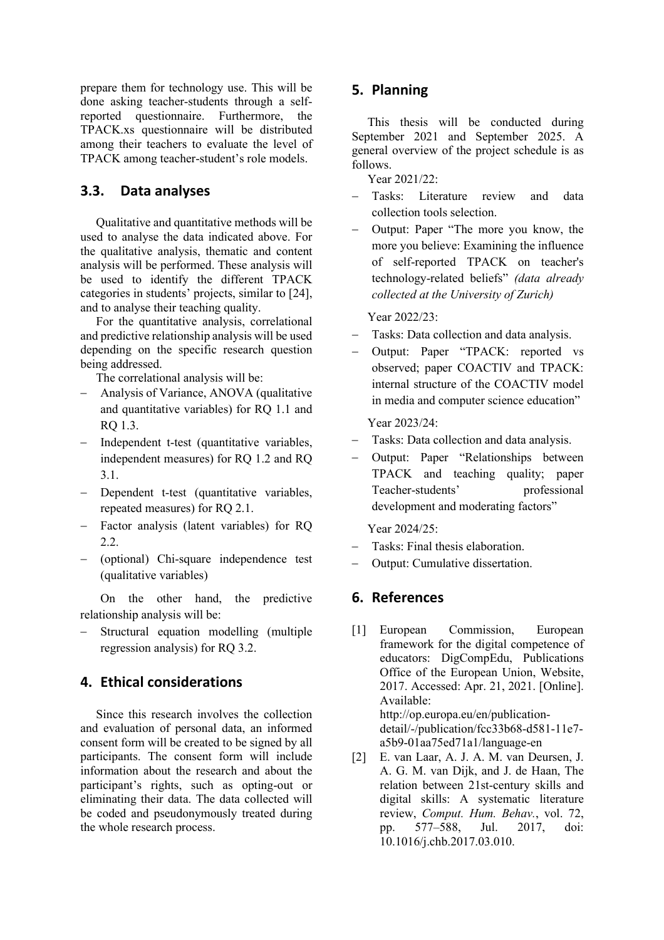prepare them for technology use. This will be done asking teacher-students through a selfreported questionnaire. Furthermore, the TPACK.xs questionnaire will be distributed among their teachers to evaluate the level of TPACK among teacher-student's role models.

#### **3.3. Data analyses**

Qualitative and quantitative methods will be used to analyse the data indicated above. For the qualitative analysis, thematic and content analysis will be performed. These analysis will be used to identify the different TPACK categories in students' projects, similar to [24], and to analyse their teaching quality.

For the quantitative analysis, correlational and predictive relationship analysis will be used depending on the specific research question being addressed.

The correlational analysis will be:

- − Analysis of Variance, ANOVA (qualitative and quantitative variables) for RQ 1.1 and RQ 1.3.
- Independent t-test (quantitative variables, independent measures) for RQ 1.2 and RQ 3.1.
- − Dependent t-test (quantitative variables, repeated measures) for RQ 2.1.
- − Factor analysis (latent variables) for RQ 2.2.
- − (optional) Chi-square independence test (qualitative variables)

On the other hand, the predictive relationship analysis will be:

− Structural equation modelling (multiple regression analysis) for RQ 3.2.

#### **4. Ethical considerations**

Since this research involves the collection and evaluation of personal data, an informed consent form will be created to be signed by all participants. The consent form will include information about the research and about the participant's rights, such as opting-out or eliminating their data. The data collected will be coded and pseudonymously treated during the whole research process.

#### **5. Planning**

This thesis will be conducted during September 2021 and September 2025. A general overview of the project schedule is as follows.

Year 2021/22:

- − Tasks: Literature review and data collection tools selection.
- − Output: Paper "The more you know, the more you believe: Examining the influence of self-reported TPACK on teacher's technology-related beliefs" *(data already collected at the University of Zurich)*

Year 2022/23:

- − Tasks: Data collection and data analysis.
- Output: Paper "TPACK: reported vs observed; paper COACTIV and TPACK: internal structure of the COACTIV model in media and computer science education"

Year 2023/24:

- − Tasks: Data collection and data analysis.
- Output: Paper "Relationships between TPACK and teaching quality; paper Teacher-students' professional development and moderating factors"

Year 2024/25:

- Tasks: Final thesis elaboration.
- − Output: Cumulative dissertation.

#### **6. References**

- [1] European Commission, European framework for the digital competence of educators: DigCompEdu, Publications Office of the European Union, Website, 2017. Accessed: Apr. 21, 2021. [Online]. Available: http://op.europa.eu/en/publicationdetail/-/publication/fcc33b68-d581-11e7 a5b9-01aa75ed71a1/language-en
- [2] E. van Laar, A. J. A. M. van Deursen, J. A. G. M. van Dijk, and J. de Haan, The relation between 21st-century skills and digital skills: A systematic literature review, *Comput. Hum. Behav.*, vol. 72, pp. 577–588, Jul. 2017, doi: 10.1016/j.chb.2017.03.010.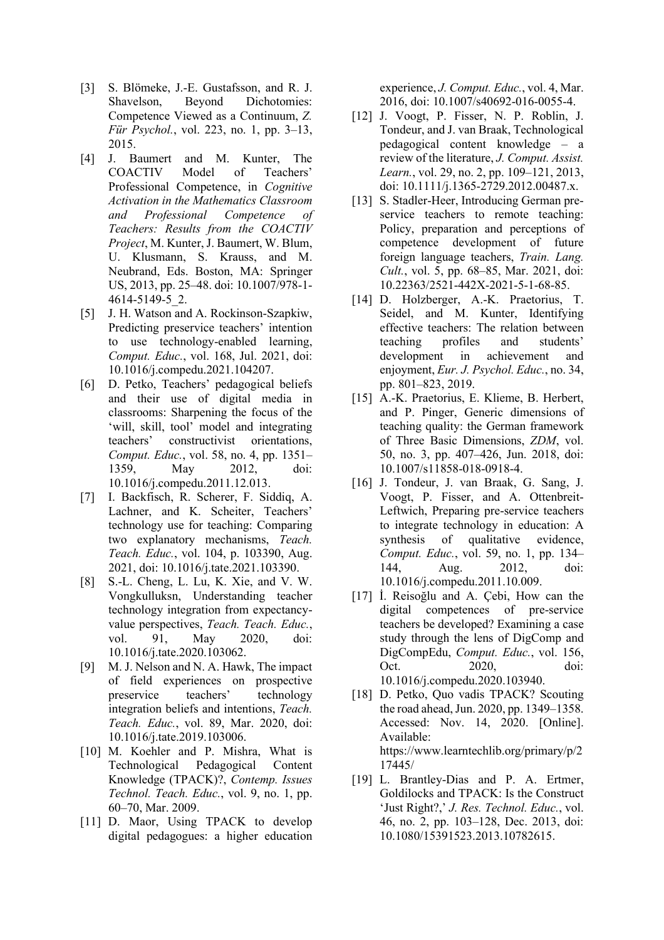- [3] S. Blömeke, J.-E. Gustafsson, and R. J. Shavelson, Beyond Dichotomies: Competence Viewed as a Continuum, *Z. Für Psychol.*, vol. 223, no. 1, pp. 3–13, 2015.
- [4] J. Baumert and M. Kunter, The COACTIV Model of Teachers' Professional Competence, in *Cognitive Activation in the Mathematics Classroom and Professional Competence of Teachers: Results from the COACTIV Project*, M. Kunter, J. Baumert, W. Blum, U. Klusmann, S. Krauss, and M. Neubrand, Eds. Boston, MA: Springer US, 2013, pp. 25–48. doi: 10.1007/978-1- 4614-5149-5\_2.
- [5] J. H. Watson and A. Rockinson-Szapkiw, Predicting preservice teachers' intention to use technology-enabled learning, *Comput. Educ.*, vol. 168, Jul. 2021, doi: 10.1016/j.compedu.2021.104207.
- [6] D. Petko, Teachers' pedagogical beliefs and their use of digital media in classrooms: Sharpening the focus of the 'will, skill, tool' model and integrating teachers' constructivist orientations, *Comput. Educ.*, vol. 58, no. 4, pp. 1351– 1359, May 2012, doi: 10.1016/j.compedu.2011.12.013.
- [7] I. Backfisch, R. Scherer, F. Siddiq, A. Lachner, and K. Scheiter, Teachers' technology use for teaching: Comparing two explanatory mechanisms, *Teach. Teach. Educ.*, vol. 104, p. 103390, Aug. 2021, doi: 10.1016/j.tate.2021.103390.
- [8] S.-L. Cheng, L. Lu, K. Xie, and V. W. Vongkulluksn, Understanding teacher technology integration from expectancyvalue perspectives, *Teach. Teach. Educ.*, vol. 91, May 2020, doi: 10.1016/j.tate.2020.103062.
- [9] M. J. Nelson and N. A. Hawk, The impact of field experiences on prospective preservice teachers' technology integration beliefs and intentions, *Teach. Teach. Educ.*, vol. 89, Mar. 2020, doi: 10.1016/j.tate.2019.103006.
- [10] M. Koehler and P. Mishra, What is Technological Pedagogical Content Knowledge (TPACK)?, *Contemp. Issues Technol. Teach. Educ.*, vol. 9, no. 1, pp. 60–70, Mar. 2009.
- [11] D. Maor, Using TPACK to develop digital pedagogues: a higher education

experience, *J. Comput. Educ.*, vol. 4, Mar. 2016, doi: 10.1007/s40692-016-0055-4.

- [12] J. Voogt, P. Fisser, N. P. Roblin, J. Tondeur, and J. van Braak, Technological pedagogical content knowledge – a review of the literature, *J. Comput. Assist. Learn.*, vol. 29, no. 2, pp. 109–121, 2013, doi: 10.1111/j.1365-2729.2012.00487.x.
- [13] S. Stadler-Heer, Introducing German preservice teachers to remote teaching: Policy, preparation and perceptions of competence development of future foreign language teachers, *Train. Lang. Cult.*, vol. 5, pp. 68–85, Mar. 2021, doi: 10.22363/2521-442X-2021-5-1-68-85.
- [14] D. Holzberger, A.-K. Praetorius, T. Seidel, and M. Kunter, Identifying effective teachers: The relation between<br>teaching profiles and students' teaching profiles and students' development in achievement and enjoyment, *Eur. J. Psychol. Educ.*, no. 34, pp. 801–823, 2019.
- [15] A.-K. Praetorius, E. Klieme, B. Herbert, and P. Pinger, Generic dimensions of teaching quality: the German framework of Three Basic Dimensions, *ZDM*, vol. 50, no. 3, pp. 407–426, Jun. 2018, doi: 10.1007/s11858-018-0918-4.
- [16] J. Tondeur, J. van Braak, G. Sang, J. Voogt, P. Fisser, and A. Ottenbreit-Leftwich, Preparing pre-service teachers to integrate technology in education: A synthesis of qualitative evidence, *Comput. Educ.*, vol. 59, no. 1, pp. 134– 144, Aug. 2012, doi: 10.1016/j.compedu.2011.10.009.
- [17] İ. Reisoğlu and A. Çebi, How can the digital competences of pre-service teachers be developed? Examining a case study through the lens of DigComp and DigCompEdu, *Comput. Educ.*, vol. 156, Oct. 2020, doi: 10.1016/j.compedu.2020.103940.
- [18] D. Petko, Quo vadis TPACK? Scouting the road ahead, Jun. 2020, pp. 1349–1358. Accessed: Nov. 14, 2020. [Online]. Available: https://www.learntechlib.org/primary/p/2 17445/
- [19] L. Brantley-Dias and P. A. Ertmer, Goldilocks and TPACK: Is the Construct 'Just Right?,' *J. Res. Technol. Educ.*, vol. 46, no. 2, pp. 103–128, Dec. 2013, doi: 10.1080/15391523.2013.10782615.